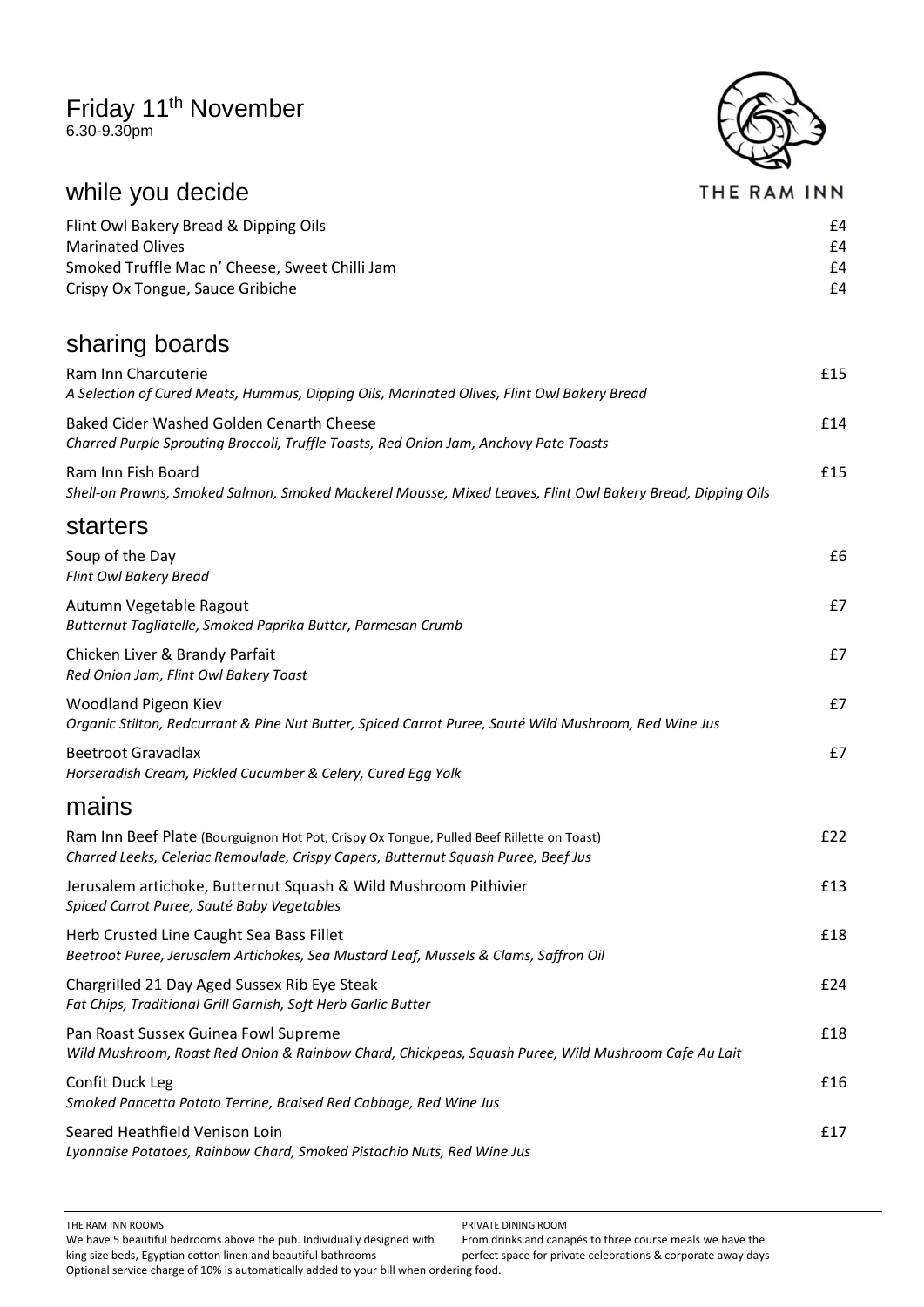## Friday 11<sup>th</sup> November

6.30-9.30pm



#### THE RAM INN

| Flint Owl Bakery Bread & Dipping Oils          | f4 |
|------------------------------------------------|----|
| Marinated Olives                               | f4 |
| Smoked Truffle Mac n' Cheese, Sweet Chilli Jam | f4 |
| Crispy Ox Tongue, Sauce Gribiche               | f4 |

## sharing boards

while you decide

| Ram Inn Charcuterie<br>A Selection of Cured Meats, Hummus, Dipping Oils, Marinated Olives, Flint Owl Bakery Bread                                                               | £15 |
|---------------------------------------------------------------------------------------------------------------------------------------------------------------------------------|-----|
| <b>Baked Cider Washed Golden Cenarth Cheese</b><br>Charred Purple Sprouting Broccoli, Truffle Toasts, Red Onion Jam, Anchovy Pate Toasts                                        | £14 |
| Ram Inn Fish Board<br>Shell-on Prawns, Smoked Salmon, Smoked Mackerel Mousse, Mixed Leaves, Flint Owl Bakery Bread, Dipping Oils                                                | £15 |
| starters                                                                                                                                                                        |     |
| Soup of the Day<br>Flint Owl Bakery Bread                                                                                                                                       | £6  |
| Autumn Vegetable Ragout<br>Butternut Tagliatelle, Smoked Paprika Butter, Parmesan Crumb                                                                                         | £7  |
| Chicken Liver & Brandy Parfait<br>Red Onion Jam, Flint Owl Bakery Toast                                                                                                         | £7  |
| Woodland Pigeon Kiev<br>Organic Stilton, Redcurrant & Pine Nut Butter, Spiced Carrot Puree, Sauté Wild Mushroom, Red Wine Jus                                                   | £7  |
| <b>Beetroot Gravadlax</b><br>Horseradish Cream, Pickled Cucumber & Celery, Cured Egg Yolk                                                                                       | £7  |
| mains                                                                                                                                                                           |     |
| Ram Inn Beef Plate (Bourguignon Hot Pot, Crispy Ox Tongue, Pulled Beef Rillette on Toast)<br>Charred Leeks, Celeriac Remoulade, Crispy Capers, Butternut Squash Puree, Beef Jus | £22 |
| Jerusalem artichoke, Butternut Squash & Wild Mushroom Pithivier<br>Spiced Carrot Puree, Sauté Baby Vegetables                                                                   | £13 |
| Herb Crusted Line Caught Sea Bass Fillet<br>Beetroot Puree, Jerusalem Artichokes, Sea Mustard Leaf, Mussels & Clams, Saffron Oil                                                | £18 |
| Chargrilled 21 Day Aged Sussex Rib Eye Steak<br>Fat Chips, Traditional Grill Garnish, Soft Herb Garlic Butter                                                                   | £24 |
| Pan Roast Sussex Guinea Fowl Supreme<br>Wild Mushroom, Roast Red Onion & Rainbow Chard, Chickpeas, Squash Puree, Wild Mushroom Cafe Au Lait                                     | £18 |
| Confit Duck Leg<br>Smoked Pancetta Potato Terrine, Braised Red Cabbage, Red Wine Jus                                                                                            | f16 |
| Seared Heathfield Venison Loin<br>Lyonnaise Potatoes, Rainbow Chard, Smoked Pistachio Nuts, Red Wine Jus                                                                        | £17 |